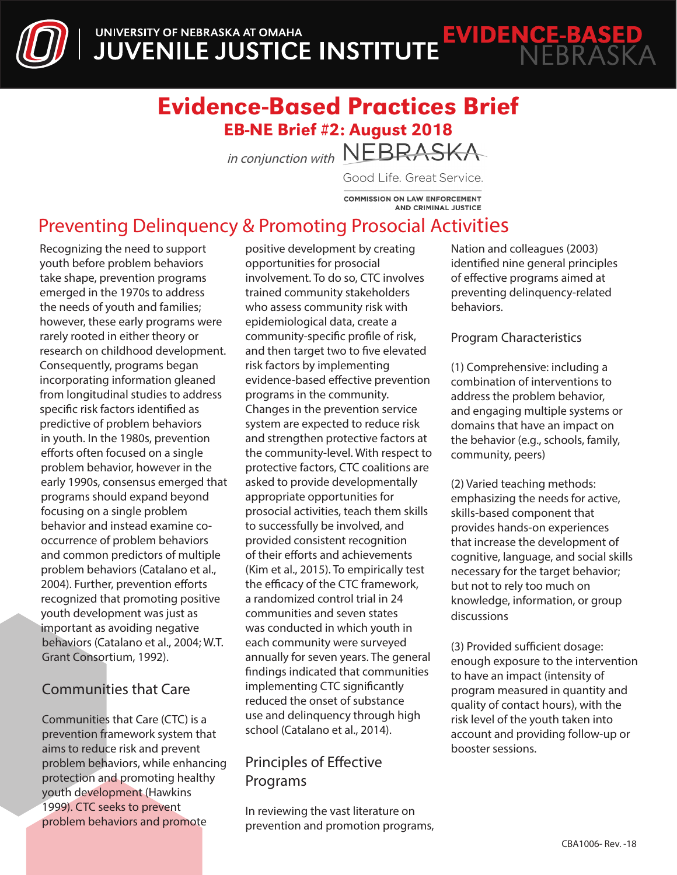

# Evidence-Based Practices Brief EB-NE Brief #2: August 2018

in conjunction with NEBRASKA

Good Life. Great Service.

**COMMISSION ON LAW ENFORCEMENT AND CRIMINAL JUSTICE** 

# Preventing Delinquency & Promoting Prosocial Activities

Recognizing the need to support youth before problem behaviors take shape, prevention programs emerged in the 1970s to address the needs of youth and families; however, these early programs were rarely rooted in either theory or research on childhood development. Consequently, programs began incorporating information gleaned from longitudinal studies to address specific risk factors identified as predictive of problem behaviors in youth. In the 1980s, prevention efforts often focused on a single problem behavior, however in the early 1990s, consensus emerged that programs should expand beyond focusing on a single problem behavior and instead examine cooccurrence of problem behaviors and common predictors of multiple problem behaviors (Catalano et al., 2004). Further, prevention efforts recognized that promoting positive youth development was just as important as avoiding negative behaviors (Catalano et al., 2004; W.T. Grant Consortium, 1992).

## Communities that Care

Communities that Care (CTC) is a prevention framework system that aims to reduce risk and prevent problem behaviors, while enhancing protection and promoting healthy youth development (Hawkins 1999). CTC seeks to prevent problem behaviors and promote

positive development by creating opportunities for prosocial involvement. To do so, CTC involves trained community stakeholders who assess community risk with epidemiological data, create a community-specific profile of risk, and then target two to five elevated risk factors by implementing evidence-based effective prevention programs in the community. Changes in the prevention service system are expected to reduce risk and strengthen protective factors at the community-level. With respect to protective factors, CTC coalitions are asked to provide developmentally appropriate opportunities for prosocial activities, teach them skills to successfully be involved, and provided consistent recognition of their efforts and achievements (Kim et al., 2015). To empirically test the efficacy of the CTC framework, a randomized control trial in 24 communities and seven states was conducted in which youth in each community were surveyed annually for seven years. The general findings indicated that communities implementing CTC significantly reduced the onset of substance use and delinquency through high school (Catalano et al., 2014).

# Principles of Effective Programs

In reviewing the vast literature on prevention and promotion programs, Nation and colleagues (2003) identified nine general principles of effective programs aimed at preventing delinquency-related behaviors.

### Program Characteristics

(1) Comprehensive: including a combination of interventions to address the problem behavior, and engaging multiple systems or domains that have an impact on the behavior (e.g., schools, family, community, peers)

(2) Varied teaching methods: emphasizing the needs for active, skills-based component that provides hands-on experiences that increase the development of cognitive, language, and social skills necessary for the target behavior; but not to rely too much on knowledge, information, or group discussions

(3) Provided sufficient dosage: enough exposure to the intervention to have an impact (intensity of program measured in quantity and quality of contact hours), with the risk level of the youth taken into account and providing follow-up or booster sessions.